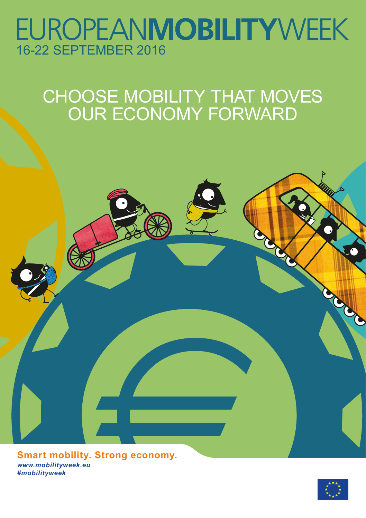## **EUROPEANMOBILITYWEEK** 16-22 SEPTEMBER 2016

## CHOOSE MOBILITY THAT MOVES OUR ECONOMY FORWARD



*www.mobilityweek.eu #mobilityweek* **Smart mobility. Strong economy.**